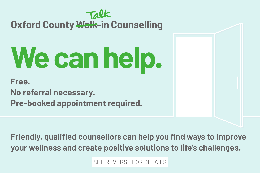

# **Oxford County Walk-in Counselling**

# **We can help.**

**Free.**

**No referral necessary.**

**Pre-booked appointment required.** 

**Friendly, qualified counsellors can help you find ways to improve your wellness and create positive solutions to life's challenges.** 

SEE REVERSE FOR DETAILS